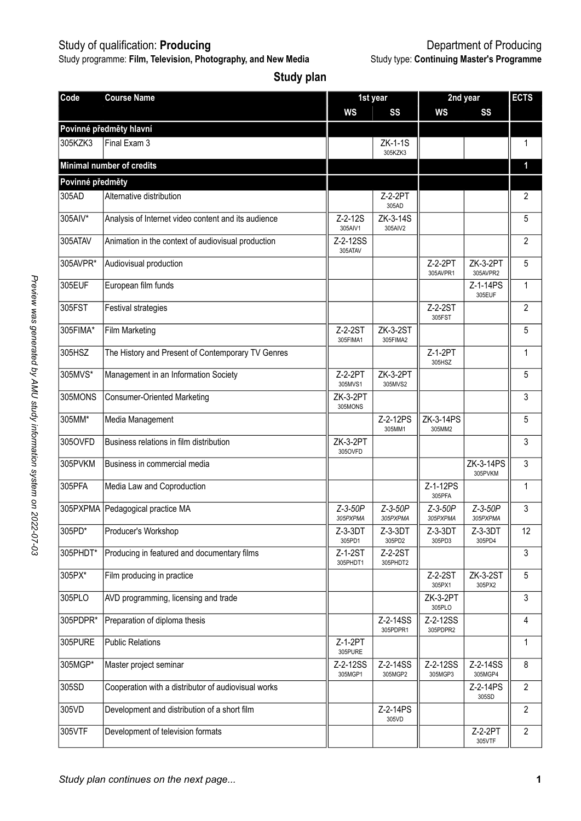Study programme: **Film, Television, Photography, and New Media** Study type: **Continuing Master's Programme**

| Code             | <b>Course Name</b>                                  |                           | 1st year              | 2nd year              | <b>ECTS</b>           |                |
|------------------|-----------------------------------------------------|---------------------------|-----------------------|-----------------------|-----------------------|----------------|
|                  |                                                     | WS                        | SS                    | WS                    | SS                    |                |
|                  | Povinné předměty hlavní                             |                           |                       |                       |                       |                |
| 305KZK3          | Final Exam 3                                        |                           | $ZK-1-1S$<br>305KZK3  |                       |                       | 1              |
|                  | Minimal number of credits                           |                           |                       |                       |                       | 1              |
| Povinné předměty |                                                     |                           |                       |                       |                       |                |
| 305AD            | Alternative distribution                            |                           | Z-2-2PT<br>305AD      |                       |                       | $\overline{2}$ |
| 305AIV*          | Analysis of Internet video content and its audience | $Z - 2 - 12S$<br>305AIV1  | ZK-3-14S<br>305AIV2   |                       |                       | 5              |
| 305ATAV          | Animation in the context of audiovisual production  | Z-2-12SS<br>305ATAV       |                       |                       |                       | $\overline{2}$ |
| 305AVPR*         | Audiovisual production                              |                           |                       | Z-2-2PT<br>305AVPR1   | ZK-3-2PT<br>305AVPR2  | 5              |
| 305EUF           | European film funds                                 |                           |                       |                       | Z-1-14PS<br>305EUF    | $\mathbf{1}$   |
| 305FST           | <b>Festival strategies</b>                          |                           |                       | Z-2-2ST<br>305FST     |                       | $\overline{2}$ |
| 305FIMA*         | Film Marketing                                      | Z-2-2ST<br>305FIMA1       | ZK-3-2ST<br>305FIMA2  |                       |                       | 5              |
| 305HSZ           | The History and Present of Contemporary TV Genres   |                           |                       | Z-1-2PT<br>305HS7     |                       | $\mathbf{1}$   |
| 305MVS*          | Management in an Information Society                | Z-2-2PT<br>305MVS1        | ZK-3-2PT<br>305MVS2   |                       |                       | 5              |
| 305MONS          | <b>Consumer-Oriented Marketing</b>                  | ZK-3-2PT<br>305MONS       |                       |                       |                       | 3              |
| 305MM*           | Media Management                                    |                           | Z-2-12PS<br>305MM1    | ZK-3-14PS<br>305MM2   |                       | 5              |
| 305OVFD          | Business relations in film distribution             | ZK-3-2PT<br>3050VFD       |                       |                       |                       | 3              |
| 305PVKM          | Business in commercial media                        |                           |                       |                       | ZK-3-14PS<br>305PVKM  | 3              |
| 305PFA           | Media Law and Coproduction                          |                           |                       | Z-1-12PS<br>305PFA    |                       | 1              |
| 305PXPMA         | Pedagogical practice MA                             | $Z - 3 - 50P$<br>305PXPMA | $Z-3-50P$<br>305PXPMA | $Z-3-50P$<br>305PXPMA | $Z-3-50P$<br>305PXPMA | 3              |
| 305PD*           | Producer's Workshop                                 | $Z-3-3DT$<br>305PD1       | $Z-3-3DT$<br>305PD2   | $Z-3-3DT$<br>305PD3   | $Z-3-3DT$<br>305PD4   | 12             |
| 305PHDT*         | Producing in featured and documentary films         | $Z-1-2ST$<br>305PHDT1     | $Z-2-2ST$<br>305PHDT2 |                       |                       | 3              |
| 305PX*           | Film producing in practice                          |                           |                       | Z-2-2ST<br>305PX1     | ZK-3-2ST<br>305PX2    | 5              |
| 305PLO           | AVD programming, licensing and trade                |                           |                       | ZK-3-2PT<br>305PLO    |                       | 3              |
| 305PDPR*         | Preparation of diploma thesis                       |                           | Z-2-14SS<br>305PDPR1  | Z-2-12SS<br>305PDPR2  |                       | 4              |
| 305PURE          | <b>Public Relations</b>                             | Z-1-2PT<br>305PURE        |                       |                       |                       | $\mathbf{1}$   |
| 305MGP*          | Master project seminar                              | Z-2-12SS<br>305MGP1       | Z-2-14SS<br>305MGP2   | Z-2-12SS<br>305MGP3   | Z-2-14SS<br>305MGP4   | 8              |
| 305SD            | Cooperation with a distributor of audiovisual works |                           |                       |                       | Z-2-14PS<br>305SD     | $\overline{2}$ |
| 305VD            | Development and distribution of a short film        |                           | Z-2-14PS<br>305VD     |                       |                       | $\mathfrak{p}$ |
| 305VTF           | Development of television formats                   |                           |                       |                       | Z-2-2PT<br>305VTF     | $\overline{2}$ |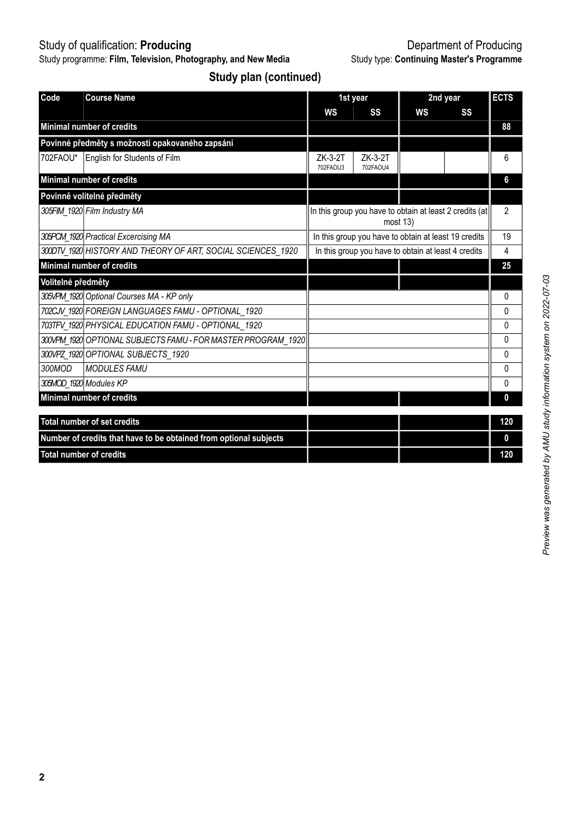Study programme: **Film, Television, Photography, and New Media** Study type: **Continuing Master's Programme**

# Study of qualification: **Producing** Department of Producing

**Study plan (continued)**

| Code                                            | <b>Course Name</b>                                                |                                                                     | 1st year                                             |    | 2nd year | <b>ECTS</b>    |  |
|-------------------------------------------------|-------------------------------------------------------------------|---------------------------------------------------------------------|------------------------------------------------------|----|----------|----------------|--|
|                                                 |                                                                   | WS                                                                  | SS                                                   | WS | SS       |                |  |
|                                                 | Minimal number of credits                                         |                                                                     |                                                      |    |          | 88             |  |
| Povinné předměty s možností opakovaného zapsání |                                                                   |                                                                     |                                                      |    |          |                |  |
| 702FAOU*                                        | English for Students of Film                                      | ZK-3-2T<br>702FAOU3                                                 | ZK-3-2T<br>702FAOU4                                  |    |          | 6              |  |
|                                                 | Minimal number of credits                                         |                                                                     |                                                      |    |          | 6              |  |
|                                                 | Povinně volitelné předměty                                        |                                                                     |                                                      |    |          |                |  |
|                                                 | 305FIM 1920 Film Industry MA                                      | In this group you have to obtain at least 2 credits (at<br>most 13) |                                                      |    |          | $\overline{2}$ |  |
|                                                 | 305PCM 1920 Practical Excercising MA                              |                                                                     | In this group you have to obtain at least 19 credits |    |          | 19             |  |
|                                                 | 300DTV 1920 HISTORY AND THEORY OF ART, SOCIAL SCIENCES 1920       | In this group you have to obtain at least 4 credits                 |                                                      |    |          |                |  |
|                                                 | Minimal number of credits                                         |                                                                     |                                                      |    |          | 25             |  |
| Volitelné předměty                              |                                                                   |                                                                     |                                                      |    |          |                |  |
|                                                 | 305VPM 1920 Optional Courses MA - KP only                         |                                                                     |                                                      |    |          | 0              |  |
|                                                 | 702CJV 1920 FOREIGN LANGUAGES FAMU - OPTIONAL 1920                |                                                                     |                                                      |    |          | 0              |  |
|                                                 | 703TFV 1920 PHYSICAL EDUCATION FAMU - OPTIONAL 1920               |                                                                     |                                                      |    |          | 0              |  |
|                                                 | 300VPM 1920 OPTIONAL SUBJECTS FAMU - FOR MASTER PROGRAM 1920      |                                                                     |                                                      |    |          | 0              |  |
|                                                 | 300VPZ 1920 OPTIONAL SUBJECTS 1920                                |                                                                     |                                                      |    |          | 0              |  |
| 300MOD                                          | <b>MODULES FAMU</b>                                               |                                                                     |                                                      |    |          | 0              |  |
|                                                 | 305MOD 1920 Modules KP                                            |                                                                     |                                                      |    |          | 0              |  |
|                                                 | Minimal number of credits                                         |                                                                     |                                                      |    |          | $\mathbf{0}$   |  |
|                                                 | Total number of set credits                                       |                                                                     |                                                      |    |          | 120            |  |
|                                                 | Number of credits that have to be obtained from optional subjects |                                                                     |                                                      |    |          | 0              |  |
|                                                 |                                                                   |                                                                     |                                                      |    |          |                |  |
| <b>Total number of credits</b>                  |                                                                   |                                                                     |                                                      |    |          | 120            |  |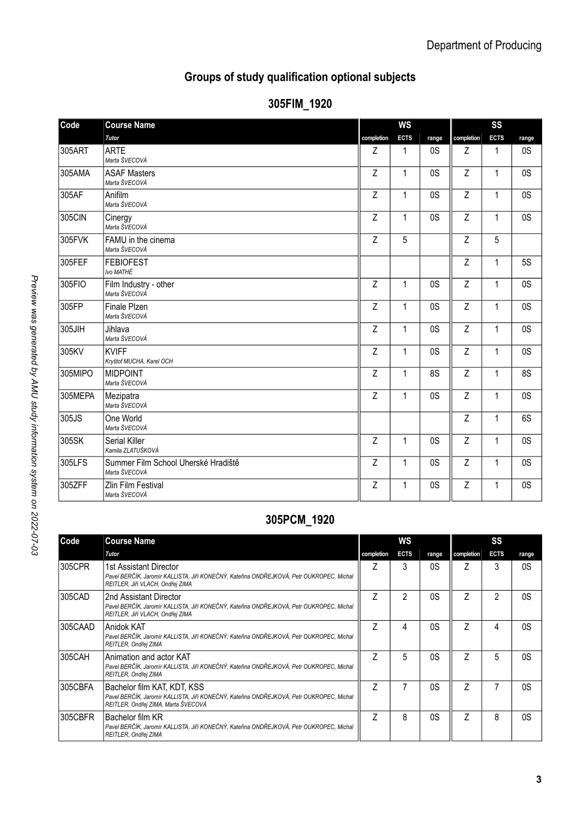## **Groups of study qualification optional subjects**

| Code    | <b>Course Name</b>                                   |            | ws           |                |            | SS           |           |
|---------|------------------------------------------------------|------------|--------------|----------------|------------|--------------|-----------|
|         | Tutor                                                | completion | <b>ECTS</b>  | range          | completion | <b>ECTS</b>  | range     |
| 305ART  | <b>ARTE</b><br>Marta ŠVECOVÁ                         | Z          | 1            | 0 <sub>S</sub> | Z          | 1            | 0S        |
| 305AMA  | <b>ASAF Masters</b><br>Marta ŠVECOVÁ                 | Z          | $\mathbf{1}$ | 0S             | Z          | 1            | 0S        |
| 305AF   | Anifilm<br>Marta ŠVECOVÁ                             | Z          | 1            | 0 <sub>S</sub> | Z          | 1            | 0S        |
| 305CIN  | Cinergy<br>Marta ŠVECOVÁ                             | Z          | $\mathbf{1}$ | 0 <sub>S</sub> | Z          | 1            | 0S        |
| 305FVK  | FAMU in the cinema<br>Marta ŠVECOVÁ                  | Z          | 5            |                | Z          | 5            |           |
| 305FEF  | <b>FEBIOFEST</b><br>Ivo MATHÉ                        |            |              |                | Z          | $\mathbf{1}$ | <b>5S</b> |
| 305FIO  | Film Industry - other<br>Marta ŠVECOVÁ               | Z          | $\mathbf{1}$ | 0S             | Z          | $\mathbf{1}$ | 0S        |
| 305FP   | Finale Plzen<br>Marta ŠVECOVÁ                        | Z          | $\mathbf{1}$ | 0S             | Z          | $\mathbf{1}$ | 0S        |
| 305JIH  | Jihlava<br>Marta ŠVECOVÁ                             | Z          | $\mathbf{1}$ | 0S             | Z          | $\mathbf{1}$ | 0S        |
| 305KV   | <b>KVIFF</b><br>Kryštof MUCHA, Karel OCH             | Z          | 1            | 0S             | Z          | 1            | 0S        |
| 305MIPO | <b>MIDPOINT</b><br>Marta ŠVECOVÁ                     | Z          | $\mathbf{1}$ | 8S             | Z          | 1            | 8S        |
| 305MEPA | Mezipatra<br>Marta ŠVECOVÁ                           | Z          | 1            | 0 <sub>S</sub> | Z          | 1            | 0S        |
| 305JS   | One World<br>Marta ŠVECOVÁ                           |            |              |                | Z          | 1            | 6S        |
| 305SK   | Serial Killer<br>Kamila ZLATUŠKOVÁ                   | Z          | $\mathbf{1}$ | 0S             | Z          | $\mathbf{1}$ | 0S        |
| 305LFS  | Summer Film School Uherské Hradiště<br>Marta ŠVECOVÁ | Z          | $\mathbf{1}$ | 0S             | Z          | $\mathbf{1}$ | 0S        |
| 305ZFF  | Zlin Film Festival<br>Marta ŠVECOVÁ                  | Z          | 1            | 0 <sub>S</sub> | Z          | 1            | 0S        |

### **305FIM\_1920**

# **305PCM\_1920**

| Code    | <b>Course Name</b>                                                                                                                                             | WS         |             |       | SS         |             |       |  |
|---------|----------------------------------------------------------------------------------------------------------------------------------------------------------------|------------|-------------|-------|------------|-------------|-------|--|
|         | Tutor                                                                                                                                                          | completion | <b>ECTS</b> | range | completion | <b>ECTS</b> | range |  |
| 305CPR  | 1st Assistant Director<br>Pavel BERČÍK, Jaromír KALLISTA, Jiří KONEČNÝ, Kateřina ONDŘEJKOVÁ, Petr OUKROPEC, Michal<br>REITLER, Jiří VLACH, Ondřej ZIMA         | 7          | 3           | 0S    |            | 3           | 0S    |  |
| 305CAD  | 2nd Assistant Director<br>Pavel BERČÍK, Jaromír KALLISTA, Jiří KONEČNÝ, Kateřina ONDŘEJKOVÁ, Petr OUKROPEC, Michal<br>REITLER, Jiří VLACH, Ondřej ZIMA         |            | 2           | 0S    | 7          | 2           | 0S    |  |
| 305CAAD | lAnidok KAT<br>Pavel BERČÍK, Jaromír KALLISTA, Jiří KONEČNÝ, Kateřina ONDŘEJKOVÁ, Petr OUKROPEC, Michal<br>REITLER, Ondřej ZIMA                                | 7          | 4           | 0S    |            | 4           | 0S    |  |
| 305CAH  | Animation and actor KAT<br>Pavel BERČÍK, Jaromír KALLISTA, Jiří KONEČNÝ, Kateřina ONDŘEJKOVÁ, Petr OUKROPEC, Michal<br>REITLER, Ondřej ZIMA                    | 7          | 5           | 0S    | 7          | 5           | 0S    |  |
| 305CBFA | Bachelor film KAT, KDT, KSS<br>Pavel BERČÍK, Jaromír KALLISTA, Jiří KONEČNÝ, Kateřina ONDŘEJKOVÁ, Petr OUKROPEC, Michal<br>REITLER, Ondřej ZIMA, Marta ŠVECOVÁ | 7          |             | 0S    | 7          |             | 0S    |  |
| 305CBFR | Bachelor film KR<br>Pavel BERČÍK, Jaromír KALLISTA, Jiří KONEČNÝ, Kateřina ONDŘEJKOVÁ, Petr OUKROPEC, Michal<br>REITLER, Ondřej ZIMA                           | 7          | 8           | 0S    |            | 8           | 0S    |  |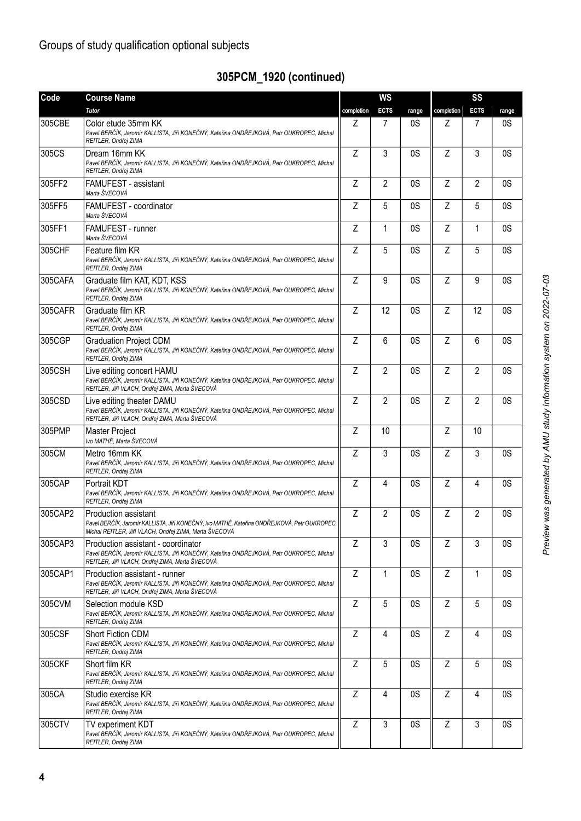# **305PCM\_1920 (continued)**

| Code    | <b>Course Name</b>                                                                                                                                                                    | <b>WS</b>  |                |       | SS         |                |       |  |
|---------|---------------------------------------------------------------------------------------------------------------------------------------------------------------------------------------|------------|----------------|-------|------------|----------------|-------|--|
|         | <b>Tutor</b>                                                                                                                                                                          | completion | <b>ECTS</b>    | range | completion | <b>ECTS</b>    | range |  |
| 305CBE  | Color etude 35mm KK<br>Pavel BERČÍK, Jaromír KALLISTA, Jiří KONEČNÝ, Kateřina ONDŘEJKOVÁ, Petr OUKROPEC, Michal<br>REITLER, Ondřej ZIMA                                               | Z          | 7              | 0S    | Z          | $\overline{7}$ | 0S    |  |
| 305CS   | Dream 16mm KK<br>Pavel BERČÍK, Jaromír KALLISTA, Jiří KONEČNÝ, Kateřina ONDŘEJKOVÁ, Petr OUKROPEC, Michal<br>REITLER, Ondřej ZIMA                                                     | 7          | 3              | 0S    | Z          | 3              | 0S    |  |
| 305FF2  | FAMUFEST - assistant<br>Marta ŠVECOVÁ                                                                                                                                                 | Z          | $\overline{2}$ | 0S    | Z          | $\overline{2}$ | 0S    |  |
| 305FF5  | FAMUFEST - coordinator<br>Marta ŠVECOVÁ                                                                                                                                               | Z          | 5              | 0S    | Z          | 5              | 0S    |  |
| 305FF1  | FAMUFEST - runner<br>Marta ŠVECOVÁ                                                                                                                                                    | Z          | $\mathbf{1}$   | 0S    | Z          | $\mathbf{1}$   | 0S    |  |
| 305CHF  | Feature film KR<br>Pavel BERČÍK, Jaromír KALLISTA, Jiří KONEČNÝ, Kateřina ONDŘEJKOVÁ, Petr OUKROPEC, Michal<br>REITLER, Ondřej ZIMA                                                   | Z          | 5              | 0S    | Z          | 5              | 0S    |  |
| 305CAFA | Graduate film KAT, KDT, KSS<br>Pavel BERČÍK, Jaromír KALLISTA, Jiří KONEČNÝ, Kateřina ONDŘEJKOVÁ, Petr OUKROPEC, Michal<br>REITLER, Ondřej ZIMA                                       | Z          | 9              | 0S    | Z          | 9              | 0S    |  |
| 305CAFR | Graduate film KR<br>Pavel BERČÍK, Jaromír KALLISTA, Jiří KONEČNÝ, Kateřina ONDŘEJKOVÁ, Petr OUKROPEC, Michal<br>REITLER, Ondřej ZIMA                                                  | Z          | 12             | 0S    | Z          | 12             | 0S    |  |
| 305CGP  | <b>Graduation Project CDM</b><br>Pavel BERČÍK, Jaromír KALLISTA, Jiří KONEČNÝ, Kateřina ONDŘEJKOVÁ, Petr OUKROPEC, Michal<br>REITLER, Ondřej ZIMA                                     | Z          | 6              | 0S    | Ζ          | 6              | 0S    |  |
| 305CSH  | Live editing concert HAMU<br>Pavel BERČÍK, Jaromír KALLISTA, Jiří KONEČNÝ, Kateřina ONDŘEJKOVÁ, Petr OUKROPEC, Michal<br>REITLER, Jiří VLACH, Ondřej ZIMA, Marta ŠVECOVÁ              | Z          | $\overline{2}$ | 0S    | Z          | $\overline{2}$ | 0S    |  |
| 305CSD  | Live editing theater DAMU<br>Pavel BERČÍK, Jaromír KALLISTA, Jiří KONEČNÝ, Kateřina ONDŘEJKOVÁ, Petr OUKROPEC, Michal<br>REITLER, Jiří VLACH, Ondřej ZIMA, Marta ŠVECOVÁ              | Z          | $\overline{2}$ | 0S    | Z          | $\overline{2}$ | 0S    |  |
| 305PMP  | <b>Master Project</b><br>Ivo MATHÉ. Marta ŠVECOVÁ                                                                                                                                     | Z          | 10             |       | Z          | 10             |       |  |
| 305CM   | Metro 16mm KK<br>Pavel BERČÍK, Jaromír KALLISTA, Jiří KONEČNÝ, Kateřina ONDŘEJKOVÁ, Petr OUKROPEC, Michal<br>REITLER, Ondřej ZIMA                                                     | Z          | 3              | 0S    | Z          | 3              | 0S    |  |
| 305CAP  | Portrait KDT<br>Pavel BERČÍK, Jaromír KALLISTA, Jiří KONEČNÝ, Kateřina ONDŘEJKOVÁ, Petr OUKROPEC, Michal<br>REITLER, Ondřej ZIMA                                                      | Z          | 4              | 0S    | Ζ          | 4              | 0S    |  |
| 305CAP2 | <b>Production assistant</b><br>Pavel BERČÍK, Jaromír KALLISTA, Jiří KONEČNÝ, Ivo MATHÉ, Kateřina ONDŘEJKOVÁ, Petr OUKROPEC,<br>Michal REITLER, Jiří VLACH, Ondřej ZIMA, Marta ŠVECOVÁ | Z          | $\overline{2}$ | 0S    | Z          | $\overline{2}$ | 0S    |  |
| 305CAP3 | Production assistant - coordinator<br>Pavel BERČÍK, Jaromír KALLISTA, Jiří KONEČNÝ, Kateřina ONDŘEJKOVÁ, Petr OUKROPEC, Michal<br>REITLER, Jiří VLACH, Ondřej ZIMA, Marta ŠVECOVÁ     | Ζ          | 3              | 0S    | Z          | 3              | 0S    |  |
| 305CAP1 | Production assistant - runner<br>Pavel BERČÍK, Jaromír KALLISTA, Jiří KONEČNÝ, Kateřina ONDŘEJKOVÁ, Petr OUKROPEC, Michal<br>REITLER, Jiří VLACH, Ondřej ZIMA, Marta ŠVECOVÁ          | Z          | 1              | 0S    | Z          | 1              | 0S    |  |
| 305CVM  | Selection module KSD<br>Pavel BERČÍK, Jaromír KALLISTA, Jiří KONEČNÝ, Kateřina ONDŘEJKOVÁ, Petr OUKROPEC, Michal<br>REITLER, Ondřej ZIMA                                              | Z          | 5              | 0S    | Z          | 5              | 0S    |  |
| 305CSF  | Short Fiction CDM<br>Pavel BERČÍK, Jaromír KALLISTA, Jiří KONEČNÝ, Kateřina ONDŘEJKOVÁ, Petr OUKROPEC, Michal<br>REITLER, Ondřej ZIMA                                                 | Z          | 4              | 0S    | Z          | 4              | 0S    |  |
| 305CKF  | Short film KR<br>Pavel BERČÍK, Jaromír KALLISTA, Jiří KONEČNÝ, Kateřina ONDŘEJKOVÁ, Petr OUKROPEC, Michal<br>REITLER, Ondřej ZIMA                                                     | Z          | 5              | 0S    | Z          | 5              | 0S    |  |
| 305CA   | Studio exercise KR<br>Pavel BERČÍK, Jaromír KALLISTA, Jiří KONEČNÝ, Kateřina ONDŘEJKOVÁ, Petr OUKROPEC, Michal<br>REITLER, Ondřej ZIMA                                                | Z          | 4              | 0S    | Z          | 4              | 0S    |  |
| 305CTV  | TV experiment KDT<br>Pavel BERČÍK, Jaromír KALLISTA, Jiří KONEČNÝ, Kateřina ONDŘEJKOVÁ, Petr OUKROPEC, Michal<br>REITLER, Ondřej ZIMA                                                 | Z          | 3              | 0S    | Z          | 3              | 0S    |  |